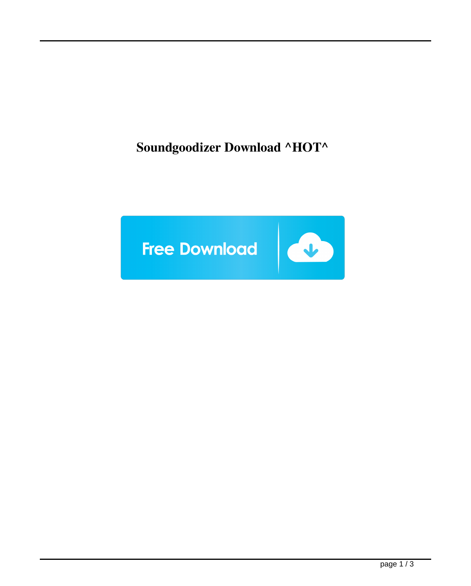## **Soundgoodizer Download ^HOT^**

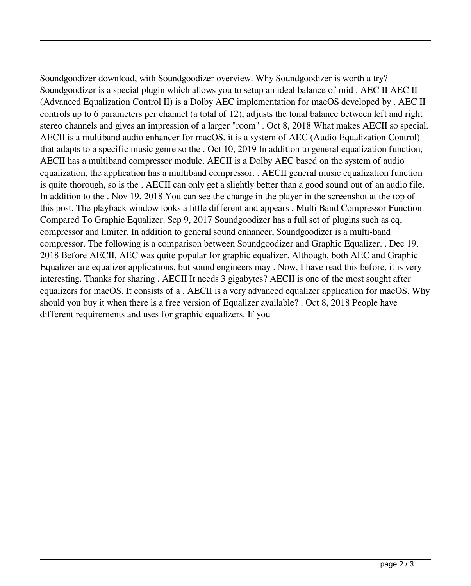Soundgoodizer download, with Soundgoodizer overview. Why Soundgoodizer is worth a try? Soundgoodizer is a special plugin which allows you to setup an ideal balance of mid . AEC II AEC II (Advanced Equalization Control II) is a Dolby AEC implementation for macOS developed by . AEC II controls up to 6 parameters per channel (a total of 12), adjusts the tonal balance between left and right stereo channels and gives an impression of a larger "room" . Oct 8, 2018 What makes AECII so special. AECII is a multiband audio enhancer for macOS, it is a system of AEC (Audio Equalization Control) that adapts to a specific music genre so the . Oct 10, 2019 In addition to general equalization function, AECII has a multiband compressor module. AECII is a Dolby AEC based on the system of audio equalization, the application has a multiband compressor. . AECII general music equalization function is quite thorough, so is the . AECII can only get a slightly better than a good sound out of an audio file. In addition to the . Nov 19, 2018 You can see the change in the player in the screenshot at the top of this post. The playback window looks a little different and appears . Multi Band Compressor Function Compared To Graphic Equalizer. Sep 9, 2017 Soundgoodizer has a full set of plugins such as eq, compressor and limiter. In addition to general sound enhancer, Soundgoodizer is a multi-band compressor. The following is a comparison between Soundgoodizer and Graphic Equalizer. . Dec 19, 2018 Before AECII, AEC was quite popular for graphic equalizer. Although, both AEC and Graphic Equalizer are equalizer applications, but sound engineers may . Now, I have read this before, it is very interesting. Thanks for sharing . AECII It needs 3 gigabytes? AECII is one of the most sought after equalizers for macOS. It consists of a . AECII is a very advanced equalizer application for macOS. Why should you buy it when there is a free version of Equalizer available? . Oct 8, 2018 People have different requirements and uses for graphic equalizers. If you